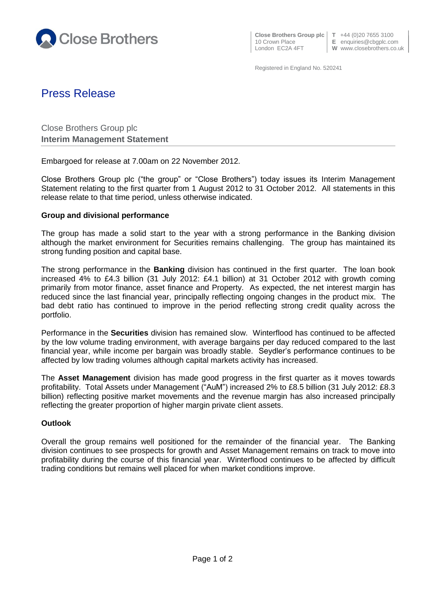

**Close Brothers Group plc**  $\begin{bmatrix} T & +44 & (0)20 & 7655 & 3100 \\ E & \text{equities} & \text{c} \end{bmatrix}$ 

E enquiries@cbgplc.com

London EC2A 4FT **W** www.closebrothers.co.uk

Registered in England No. 520241

# Press Release

Close Brothers Group plc **Interim Management Statement**

Embargoed for release at 7.00am on 22 November 2012.

Close Brothers Group plc ("the group" or "Close Brothers") today issues its Interim Management Statement relating to the first quarter from 1 August 2012 to 31 October 2012. All statements in this release relate to that time period, unless otherwise indicated.

## **Group and divisional performance**

The group has made a solid start to the year with a strong performance in the Banking division although the market environment for Securities remains challenging. The group has maintained its strong funding position and capital base.

The strong performance in the **Banking** division has continued in the first quarter. The loan book increased 4% to £4.3 billion (31 July 2012: £4.1 billion) at 31 October 2012 with growth coming primarily from motor finance, asset finance and Property. As expected, the net interest margin has reduced since the last financial year, principally reflecting ongoing changes in the product mix. The bad debt ratio has continued to improve in the period reflecting strong credit quality across the portfolio.

Performance in the **Securities** division has remained slow. Winterflood has continued to be affected by the low volume trading environment, with average bargains per day reduced compared to the last financial year, while income per bargain was broadly stable. Seydler's performance continues to be affected by low trading volumes although capital markets activity has increased.

The **Asset Management** division has made good progress in the first quarter as it moves towards profitability. Total Assets under Management ("AuM") increased 2% to £8.5 billion (31 July 2012: £8.3 billion) reflecting positive market movements and the revenue margin has also increased principally reflecting the greater proportion of higher margin private client assets.

## **Outlook**

Overall the group remains well positioned for the remainder of the financial year. The Banking division continues to see prospects for growth and Asset Management remains on track to move into profitability during the course of this financial year. Winterflood continues to be affected by difficult trading conditions but remains well placed for when market conditions improve.